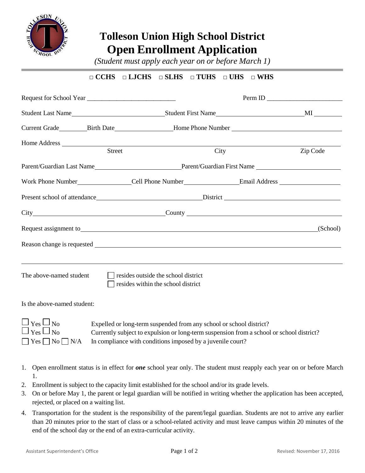

## **Tolleson Union High School District Open Enrollment Application**

*(Student must apply each year on or before March 1)*

## **□ CCHS □ LJCHS □ SLHS □ TUHS □ UHS □ WHS**

| Request for School Year     |        |                                                                                                                                                                                                                                      |      |          |  |
|-----------------------------|--------|--------------------------------------------------------------------------------------------------------------------------------------------------------------------------------------------------------------------------------------|------|----------|--|
|                             |        |                                                                                                                                                                                                                                      |      |          |  |
|                             |        | Current Grade <b>EXECURY BOOK BOOK</b> BUTCHER BOOK BOOK BOOK BOOK                                                                                                                                                                   |      |          |  |
|                             | Street |                                                                                                                                                                                                                                      | City | Zip Code |  |
|                             |        |                                                                                                                                                                                                                                      |      |          |  |
|                             |        |                                                                                                                                                                                                                                      |      |          |  |
|                             |        |                                                                                                                                                                                                                                      |      |          |  |
|                             |        |                                                                                                                                                                                                                                      |      |          |  |
|                             |        | Request assignment to subsequently and the set of the set of the set of the set of the set of the set of the set of the set of the set of the set of the set of the set of the set of the set of the set of the set of the set       |      | (School) |  |
|                             |        | Reason change is requested <b>the contract of the contract of the contract of the contract of the contract of the contract of the contract of the contract of the contract of the contract of the contract of the contract of th</b> |      |          |  |
| The above-named student     |        | $\vert$ resides outside the school district<br>resides within the school district                                                                                                                                                    |      |          |  |
| Is the above-named student: |        |                                                                                                                                                                                                                                      |      |          |  |

| $_{\rm Yes}$ $\Box$ No          | Expelled or long-term suspended from any school or school district?                      |
|---------------------------------|------------------------------------------------------------------------------------------|
| $_{\rm Yes}$ $\Box$ $_{\rm No}$ | Currently subject to expulsion or long-term suspension from a school or school district? |
|                                 | $Yes \cap No \cap N/A$ In compliance with conditions imposed by a juvenile court?        |

- 1. Open enrollment status is in effect for *one* school year only. The student must reapply each year on or before March 1.
- 2. Enrollment is subject to the capacity limit established for the school and/or its grade levels.
- 3. On or before May 1, the parent or legal guardian will be notified in writing whether the application has been accepted, rejected, or placed on a waiting list.
- 4. Transportation for the student is the responsibility of the parent/legal guardian. Students are not to arrive any earlier than 20 minutes prior to the start of class or a school-related activity and must leave campus within 20 minutes of the end of the school day or the end of an extra-curricular activity.